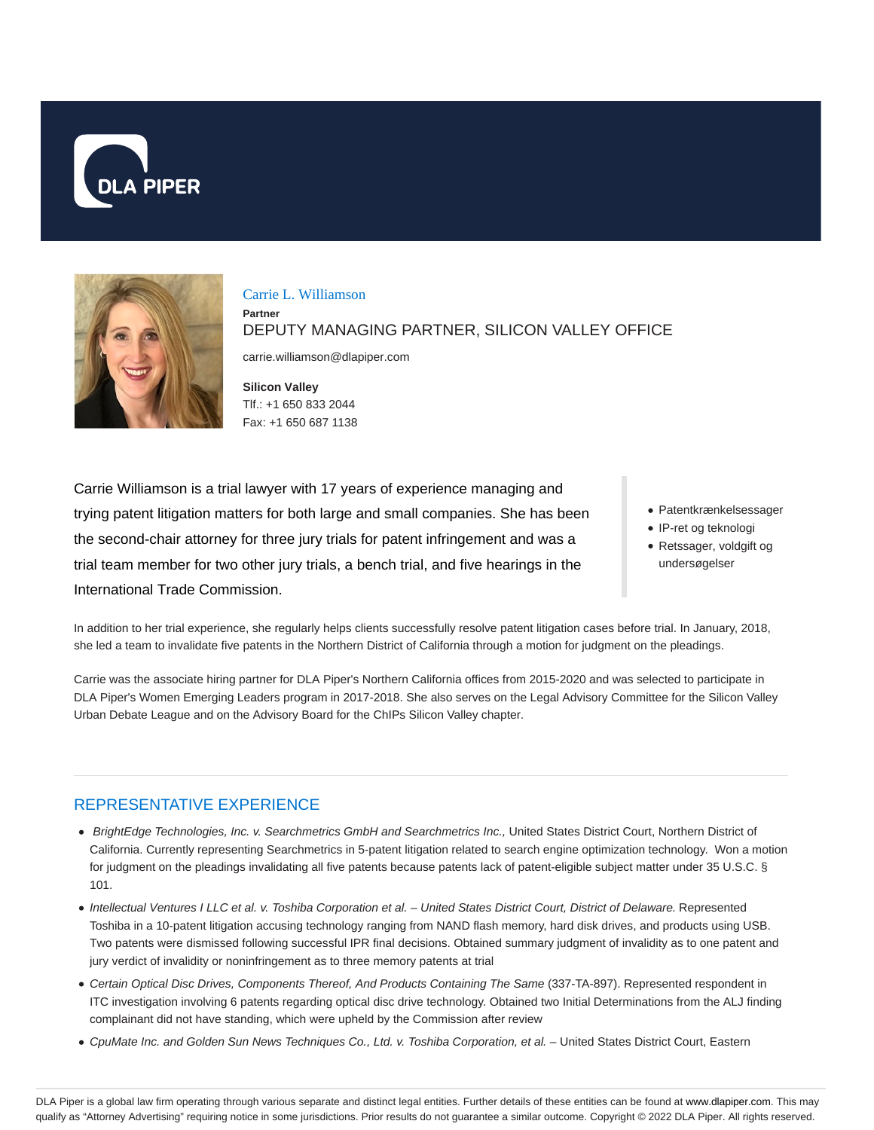



#### Carrie L. Williamson

**Partner**

DEPUTY MANAGING PARTNER, SILICON VALLEY OFFICE

carrie.williamson@dlapiper.com

**Silicon Valley** Tlf.: +1 650 833 2044 Fax: +1 650 687 1138

Carrie Williamson is a trial lawyer with 17 years of experience managing and trying patent litigation matters for both large and small companies. She has been the second-chair attorney for three jury trials for patent infringement and was a trial team member for two other jury trials, a bench trial, and five hearings in the International Trade Commission.

- Patentkrænkelsessager
- IP-ret og teknologi
- Retssager, voldgift og undersøgelser

In addition to her trial experience, she regularly helps clients successfully resolve patent litigation cases before trial. In January, 2018, she led a team to invalidate five patents in the Northern District of California through a motion for judgment on the pleadings.

Carrie was the associate hiring partner for DLA Piper's Northern California offices from 2015-2020 and was selected to participate in DLA Piper's Women Emerging Leaders program in 2017-2018. She also serves on the Legal Advisory Committee for the Silicon Valley Urban Debate League and on the Advisory Board for the ChIPs Silicon Valley chapter.

### REPRESENTATIVE EXPERIENCE

- BrightEdge Technologies, Inc. v. Searchmetrics GmbH and Searchmetrics Inc., United States District Court, Northern District of California. Currently representing Searchmetrics in 5-patent litigation related to search engine optimization technology. Won a motion for judgment on the pleadings invalidating all five patents because patents lack of patent-eligible subject matter under 35 U.S.C. § 101.
- Intellectual Ventures I LLC et al. v. Toshiba Corporation et al. United States District Court, District of Delaware. Represented Toshiba in a 10-patent litigation accusing technology ranging from NAND flash memory, hard disk drives, and products using USB. Two patents were dismissed following successful IPR final decisions. Obtained summary judgment of invalidity as to one patent and jury verdict of invalidity or noninfringement as to three memory patents at trial
- Certain Optical Disc Drives, Components Thereof, And Products Containing The Same (337-TA-897). Represented respondent in ITC investigation involving 6 patents regarding optical disc drive technology. Obtained two Initial Determinations from the ALJ finding complainant did not have standing, which were upheld by the Commission after review
- CpuMate Inc. and Golden Sun News Techniques Co., Ltd. v. Toshiba Corporation, et al. United States District Court, Eastern